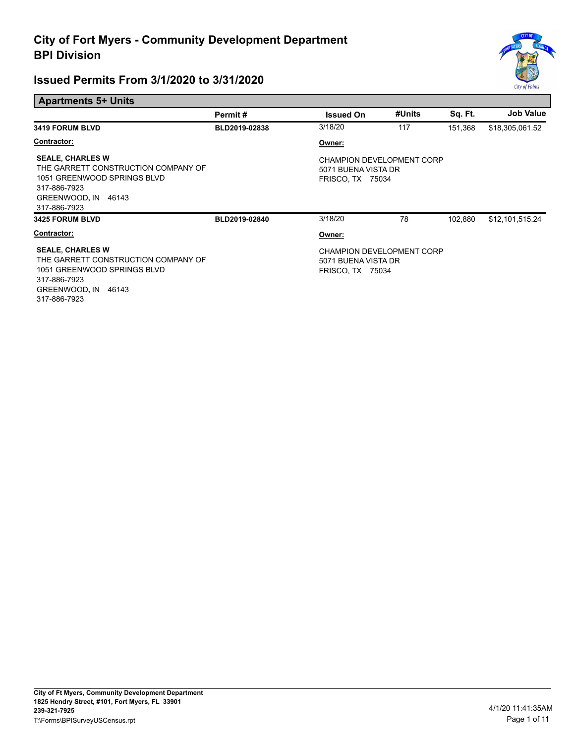

| <b>Apartments 5+ Units</b>                                                                                                                           |               |                                                                                    |        |         |                  |
|------------------------------------------------------------------------------------------------------------------------------------------------------|---------------|------------------------------------------------------------------------------------|--------|---------|------------------|
|                                                                                                                                                      | Permit#       | <b>Issued On</b>                                                                   | #Units | Sq. Ft. | <b>Job Value</b> |
| <b>3419 FORUM BLVD</b>                                                                                                                               | BLD2019-02838 | 3/18/20                                                                            | 117    | 151,368 | \$18,305,061.52  |
| <b>Contractor:</b>                                                                                                                                   |               | Owner:                                                                             |        |         |                  |
| <b>SEALE, CHARLES W</b><br>THE GARRETT CONSTRUCTION COMPANY OF<br>1051 GREENWOOD SPRINGS BLVD<br>317-886-7923<br>GREENWOOD, IN 46143<br>317-886-7923 |               | <b>CHAMPION DEVELOPMENT CORP</b><br>5071 BUENA VISTA DR<br><b>FRISCO, TX 75034</b> |        |         |                  |
| <b>3425 FORUM BLVD</b>                                                                                                                               | BLD2019-02840 | 3/18/20                                                                            | 78     | 102,880 | \$12,101,515.24  |
| Contractor:                                                                                                                                          |               | Owner:                                                                             |        |         |                  |
| <b>SEALE, CHARLES W</b><br>THE GARRETT CONSTRUCTION COMPANY OF<br>1051 GREENWOOD SPRINGS BLVD<br>317-886-7923<br>GREENWOOD, IN 46143<br>317-886-7923 |               | <b>CHAMPION DEVELOPMENT CORP</b><br>5071 BUENA VISTA DR<br><b>FRISCO, TX 75034</b> |        |         |                  |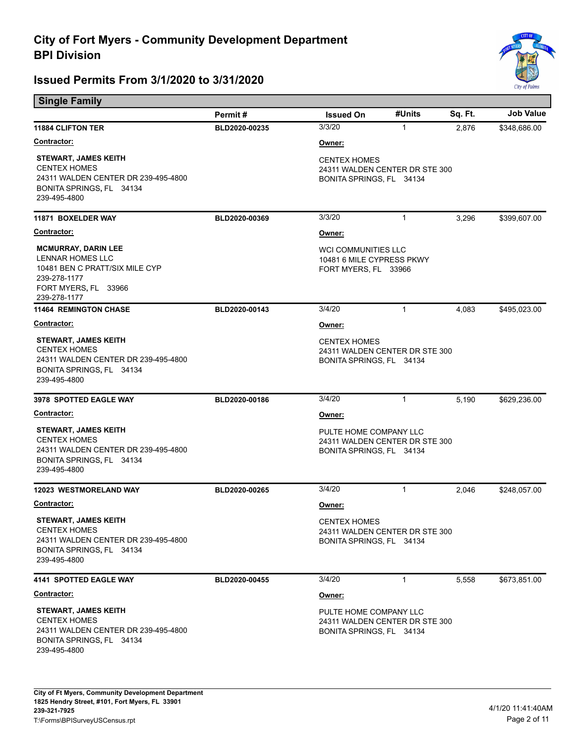

| <b>Single Family</b>                                                                                                                     |               |                                                                                      |              |         |                  |  |
|------------------------------------------------------------------------------------------------------------------------------------------|---------------|--------------------------------------------------------------------------------------|--------------|---------|------------------|--|
|                                                                                                                                          | Permit#       | <b>Issued On</b>                                                                     | #Units       | Sq. Ft. | <b>Job Value</b> |  |
| <b>11884 CLIFTON TER</b>                                                                                                                 | BLD2020-00235 | 3/3/20                                                                               | $\mathbf{1}$ | 2,876   | \$348,686.00     |  |
| Contractor:                                                                                                                              |               | Owner:                                                                               |              |         |                  |  |
| <b>STEWART, JAMES KEITH</b><br><b>CENTEX HOMES</b><br>24311 WALDEN CENTER DR 239-495-4800<br>BONITA SPRINGS, FL 34134<br>239-495-4800    |               | <b>CENTEX HOMES</b><br>24311 WALDEN CENTER DR STE 300<br>BONITA SPRINGS, FL 34134    |              |         |                  |  |
| 11871 BOXELDER WAY                                                                                                                       | BLD2020-00369 | 3/3/20                                                                               | 1            | 3,296   | \$399,607.00     |  |
| Contractor:                                                                                                                              |               | Owner:                                                                               |              |         |                  |  |
| <b>MCMURRAY, DARIN LEE</b><br>LENNAR HOMES LLC<br>10481 BEN C PRATT/SIX MILE CYP<br>239-278-1177<br>FORT MYERS, FL 33966<br>239-278-1177 |               | <b>WCI COMMUNITIES LLC</b><br>10481 6 MILE CYPRESS PKWY<br>FORT MYERS, FL 33966      |              |         |                  |  |
| <b>11464 REMINGTON CHASE</b>                                                                                                             | BLD2020-00143 | 3/4/20                                                                               | $\mathbf{1}$ | 4,083   | \$495,023.00     |  |
| Contractor:                                                                                                                              |               | Owner:                                                                               |              |         |                  |  |
| <b>STEWART, JAMES KEITH</b><br><b>CENTEX HOMES</b><br>24311 WALDEN CENTER DR 239-495-4800<br>BONITA SPRINGS, FL 34134<br>239-495-4800    |               | <b>CENTEX HOMES</b><br>24311 WALDEN CENTER DR STE 300<br>BONITA SPRINGS, FL 34134    |              |         |                  |  |
| 3978 SPOTTED EAGLE WAY                                                                                                                   | BLD2020-00186 | 3/4/20                                                                               | $\mathbf{1}$ | 5,190   | \$629,236.00     |  |
| <b>Contractor:</b>                                                                                                                       |               | Owner:                                                                               |              |         |                  |  |
| <b>STEWART, JAMES KEITH</b><br><b>CENTEX HOMES</b><br>24311 WALDEN CENTER DR 239-495-4800<br>BONITA SPRINGS, FL 34134<br>239-495-4800    |               | PULTE HOME COMPANY LLC<br>24311 WALDEN CENTER DR STE 300<br>BONITA SPRINGS, FL 34134 |              |         |                  |  |
| <b>12023 WESTMORELAND WAY</b>                                                                                                            | BLD2020-00265 | 3/4/20                                                                               | $\mathbf{1}$ | 2,046   | \$248,057.00     |  |
| Contractor:                                                                                                                              |               | Owner:                                                                               |              |         |                  |  |
| <b>STEWART, JAMES KEITH</b><br><b>CENTEX HOMES</b><br>24311 WALDEN CENTER DR 239-495-4800<br>BONITA SPRINGS, FL 34134<br>239-495-4800    |               | <b>CENTEX HOMES</b><br>24311 WALDEN CENTER DR STE 300<br>BONITA SPRINGS, FL 34134    |              |         |                  |  |
| 4141 SPOTTED EAGLE WAY                                                                                                                   | BLD2020-00455 | 3/4/20                                                                               | $\mathbf{1}$ | 5,558   | \$673,851.00     |  |
| <u>Contractor:</u>                                                                                                                       |               | Owner:                                                                               |              |         |                  |  |
| <b>STEWART, JAMES KEITH</b><br><b>CENTEX HOMES</b><br>24311 WALDEN CENTER DR 239-495-4800<br>BONITA SPRINGS, FL 34134<br>239-495-4800    |               | PULTE HOME COMPANY LLC<br>24311 WALDEN CENTER DR STE 300<br>BONITA SPRINGS, FL 34134 |              |         |                  |  |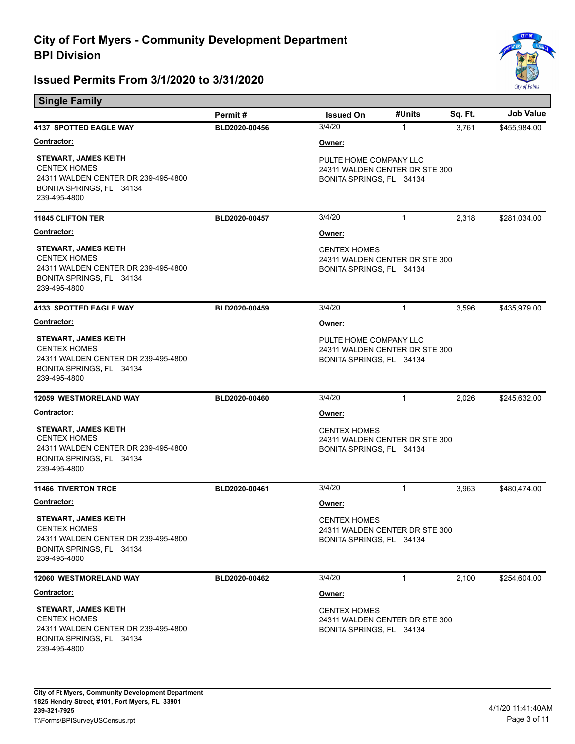

| <b>Single Family</b>                                                                                                                  |               |                                                                                      |              |         |                  |  |
|---------------------------------------------------------------------------------------------------------------------------------------|---------------|--------------------------------------------------------------------------------------|--------------|---------|------------------|--|
|                                                                                                                                       | Permit#       | <b>Issued On</b>                                                                     | #Units       | Sq. Ft. | <b>Job Value</b> |  |
| <b>4137 SPOTTED EAGLE WAY</b>                                                                                                         | BLD2020-00456 | 3/4/20                                                                               | $\mathbf{1}$ | 3,761   | \$455,984.00     |  |
| <b>Contractor:</b>                                                                                                                    |               | Owner:                                                                               |              |         |                  |  |
| <b>STEWART, JAMES KEITH</b><br><b>CENTEX HOMES</b><br>24311 WALDEN CENTER DR 239-495-4800<br>BONITA SPRINGS, FL 34134<br>239-495-4800 |               | PULTE HOME COMPANY LLC<br>24311 WALDEN CENTER DR STE 300<br>BONITA SPRINGS, FL 34134 |              |         |                  |  |
| <b>11845 CLIFTON TER</b>                                                                                                              | BLD2020-00457 | 3/4/20                                                                               | $\mathbf{1}$ | 2,318   | \$281,034.00     |  |
| <b>Contractor:</b>                                                                                                                    |               | Owner:                                                                               |              |         |                  |  |
| <b>STEWART, JAMES KEITH</b><br><b>CENTEX HOMES</b><br>24311 WALDEN CENTER DR 239-495-4800<br>BONITA SPRINGS, FL 34134<br>239-495-4800 |               | <b>CENTEX HOMES</b><br>24311 WALDEN CENTER DR STE 300<br>BONITA SPRINGS, FL 34134    |              |         |                  |  |
| <b>4133 SPOTTED EAGLE WAY</b>                                                                                                         | BLD2020-00459 | 3/4/20                                                                               | $\mathbf{1}$ | 3,596   | \$435,979.00     |  |
| Contractor:                                                                                                                           |               | Owner:                                                                               |              |         |                  |  |
| <b>STEWART, JAMES KEITH</b><br><b>CENTEX HOMES</b><br>24311 WALDEN CENTER DR 239-495-4800<br>BONITA SPRINGS, FL 34134<br>239-495-4800 |               | PULTE HOME COMPANY LLC<br>24311 WALDEN CENTER DR STE 300<br>BONITA SPRINGS, FL 34134 |              |         |                  |  |
| <b>12059 WESTMORELAND WAY</b>                                                                                                         | BLD2020-00460 | 3/4/20                                                                               | 1            | 2,026   | \$245,632.00     |  |
| <b>Contractor:</b>                                                                                                                    |               | Owner:                                                                               |              |         |                  |  |
| <b>STEWART, JAMES KEITH</b><br><b>CENTEX HOMES</b><br>24311 WALDEN CENTER DR 239-495-4800<br>BONITA SPRINGS, FL 34134<br>239-495-4800 |               | <b>CENTEX HOMES</b><br>24311 WALDEN CENTER DR STE 300<br>BONITA SPRINGS, FL 34134    |              |         |                  |  |
| <b>11466 TIVERTON TRCE</b>                                                                                                            | BLD2020-00461 | 3/4/20                                                                               | 1            | 3,963   | \$480,474.00     |  |
| Contractor:                                                                                                                           |               | Owner:                                                                               |              |         |                  |  |
| <b>STEWART, JAMES KEITH</b><br><b>CENTEX HOMES</b><br>24311 WALDEN CENTER DR 239-495-4800<br>BONITA SPRINGS, FL 34134<br>239-495-4800 |               | <b>CENTEX HOMES</b><br>24311 WALDEN CENTER DR STE 300<br>BONITA SPRINGS, FL 34134    |              |         |                  |  |
| 12060 WESTMORELAND WAY                                                                                                                | BLD2020-00462 | 3/4/20                                                                               | $\mathbf{1}$ | 2,100   | \$254,604.00     |  |
| Contractor:                                                                                                                           |               | Owner:                                                                               |              |         |                  |  |
| STEWART, JAMES KEITH<br><b>CENTEX HOMES</b><br>24311 WALDEN CENTER DR 239-495-4800<br>BONITA SPRINGS, FL 34134<br>239-495-4800        |               | <b>CENTEX HOMES</b><br>24311 WALDEN CENTER DR STE 300<br>BONITA SPRINGS, FL 34134    |              |         |                  |  |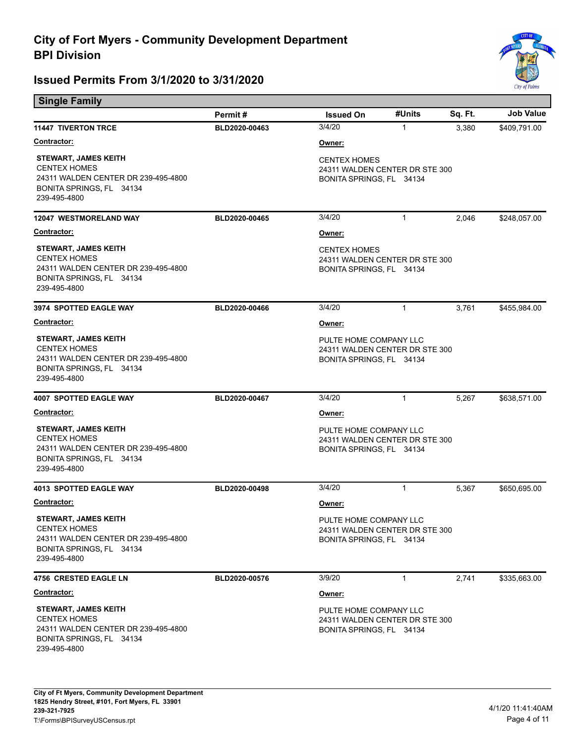

| <b>Single Family</b>                                                                                                                  |               |                                                                                      |              |         |                  |  |
|---------------------------------------------------------------------------------------------------------------------------------------|---------------|--------------------------------------------------------------------------------------|--------------|---------|------------------|--|
|                                                                                                                                       | Permit#       | <b>Issued On</b>                                                                     | #Units       | Sq. Ft. | <b>Job Value</b> |  |
| <b>11447 TIVERTON TRCE</b>                                                                                                            | BLD2020-00463 | 3/4/20                                                                               | $\mathbf{1}$ | 3,380   | \$409,791.00     |  |
| Contractor:                                                                                                                           |               | Owner:                                                                               |              |         |                  |  |
| <b>STEWART, JAMES KEITH</b><br><b>CENTEX HOMES</b><br>24311 WALDEN CENTER DR 239-495-4800<br>BONITA SPRINGS, FL 34134<br>239-495-4800 |               | <b>CENTEX HOMES</b><br>24311 WALDEN CENTER DR STE 300<br>BONITA SPRINGS, FL 34134    |              |         |                  |  |
| <b>12047 WESTMORELAND WAY</b>                                                                                                         | BLD2020-00465 | 3/4/20                                                                               | 1            | 2,046   | \$248,057.00     |  |
| <b>Contractor:</b>                                                                                                                    |               | Owner:                                                                               |              |         |                  |  |
| <b>STEWART, JAMES KEITH</b><br><b>CENTEX HOMES</b><br>24311 WALDEN CENTER DR 239-495-4800<br>BONITA SPRINGS, FL 34134<br>239-495-4800 |               | <b>CENTEX HOMES</b><br>24311 WALDEN CENTER DR STE 300<br>BONITA SPRINGS, FL 34134    |              |         |                  |  |
| <b>3974 SPOTTED EAGLE WAY</b>                                                                                                         | BLD2020-00466 | 3/4/20                                                                               | 1            | 3,761   | \$455,984.00     |  |
| <b>Contractor:</b>                                                                                                                    |               | Owner:                                                                               |              |         |                  |  |
| <b>STEWART, JAMES KEITH</b><br><b>CENTEX HOMES</b><br>24311 WALDEN CENTER DR 239-495-4800<br>BONITA SPRINGS, FL 34134<br>239-495-4800 |               | PULTE HOME COMPANY LLC<br>24311 WALDEN CENTER DR STE 300<br>BONITA SPRINGS, FL 34134 |              |         |                  |  |
| 4007 SPOTTED EAGLE WAY                                                                                                                | BLD2020-00467 | 3/4/20                                                                               | $\mathbf{1}$ | 5,267   | \$638,571.00     |  |
| <u>Contractor:</u>                                                                                                                    |               | <u>Owner:</u>                                                                        |              |         |                  |  |
| <b>STEWART, JAMES KEITH</b><br><b>CENTEX HOMES</b><br>24311 WALDEN CENTER DR 239-495-4800<br>BONITA SPRINGS, FL 34134<br>239-495-4800 |               | PULTE HOME COMPANY LLC<br>24311 WALDEN CENTER DR STE 300<br>BONITA SPRINGS, FL 34134 |              |         |                  |  |
| <b>4013 SPOTTED EAGLE WAY</b>                                                                                                         | BLD2020-00498 | 3/4/20                                                                               | 1            | 5,367   | \$650,695.00     |  |
| <u>Contractor:</u>                                                                                                                    |               | Owner:                                                                               |              |         |                  |  |
| <b>STEWART, JAMES KEITH</b><br><b>CENTEX HOMES</b><br>24311 WALDEN CENTER DR 239-495-4800<br>BONITA SPRINGS, FL 34134<br>239-495-4800 |               | PULTE HOME COMPANY LLC<br>24311 WALDEN CENTER DR STE 300<br>BONITA SPRINGS, FL 34134 |              |         |                  |  |
| <b>4756 CRESTED EAGLE LN</b>                                                                                                          | BLD2020-00576 | 3/9/20                                                                               | $\mathbf{1}$ | 2,741   | \$335,663.00     |  |
| Contractor:                                                                                                                           |               | Owner:                                                                               |              |         |                  |  |
| <b>STEWART, JAMES KEITH</b><br><b>CENTEX HOMES</b><br>24311 WALDEN CENTER DR 239-495-4800<br>BONITA SPRINGS, FL 34134<br>239-495-4800 |               | PULTE HOME COMPANY LLC<br>24311 WALDEN CENTER DR STE 300<br>BONITA SPRINGS, FL 34134 |              |         |                  |  |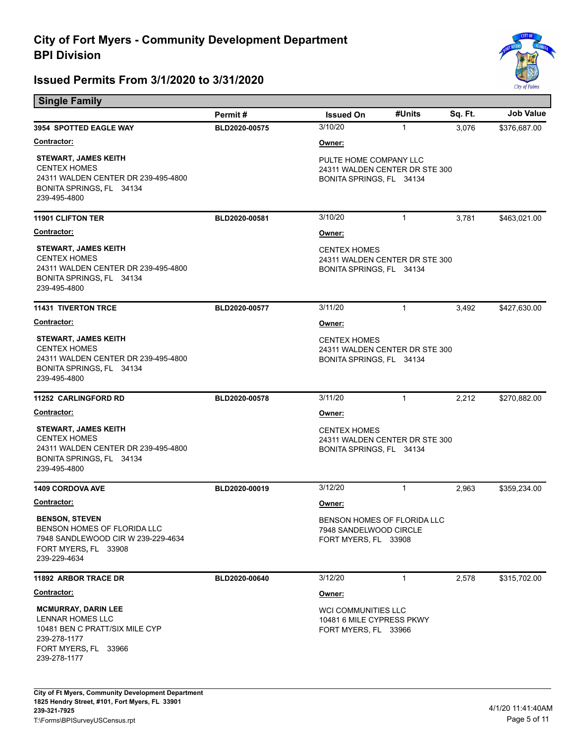

| <b>Single Family</b>                                                                                                                            |               |                                                                                      |              |         |              |
|-------------------------------------------------------------------------------------------------------------------------------------------------|---------------|--------------------------------------------------------------------------------------|--------------|---------|--------------|
|                                                                                                                                                 | Permit#       | <b>Issued On</b>                                                                     | #Units       | Sq. Ft. | Job Value    |
| <b>3954 SPOTTED EAGLE WAY</b>                                                                                                                   | BLD2020-00575 | 3/10/20                                                                              | $\mathbf{1}$ | 3,076   | \$376,687.00 |
| <b>Contractor:</b>                                                                                                                              |               | Owner:                                                                               |              |         |              |
| <b>STEWART, JAMES KEITH</b><br><b>CENTEX HOMES</b><br>24311 WALDEN CENTER DR 239-495-4800<br>BONITA SPRINGS, FL 34134<br>239-495-4800           |               | PULTE HOME COMPANY LLC<br>24311 WALDEN CENTER DR STE 300<br>BONITA SPRINGS, FL 34134 |              |         |              |
| <b>11901 CLIFTON TER</b>                                                                                                                        | BLD2020-00581 | 3/10/20                                                                              | $\mathbf{1}$ | 3,781   | \$463,021.00 |
| Contractor:                                                                                                                                     |               | Owner:                                                                               |              |         |              |
| <b>STEWART, JAMES KEITH</b><br><b>CENTEX HOMES</b><br>24311 WALDEN CENTER DR 239-495-4800<br>BONITA SPRINGS, FL 34134<br>239-495-4800           |               | <b>CENTEX HOMES</b><br>24311 WALDEN CENTER DR STE 300<br>BONITA SPRINGS, FL 34134    |              |         |              |
| <b>11431 TIVERTON TRCE</b>                                                                                                                      | BLD2020-00577 | 3/11/20                                                                              | 1            | 3,492   | \$427,630.00 |
| Contractor:                                                                                                                                     |               | Owner:                                                                               |              |         |              |
| <b>STEWART, JAMES KEITH</b><br><b>CENTEX HOMES</b><br>24311 WALDEN CENTER DR 239-495-4800<br>BONITA SPRINGS, FL 34134<br>239-495-4800           |               | <b>CENTEX HOMES</b><br>24311 WALDEN CENTER DR STE 300<br>BONITA SPRINGS, FL 34134    |              |         |              |
| <b>11252 CARLINGFORD RD</b>                                                                                                                     | BLD2020-00578 | 3/11/20                                                                              | 1            | 2,212   | \$270,882.00 |
| Contractor:                                                                                                                                     |               | Owner:                                                                               |              |         |              |
| <b>STEWART, JAMES KEITH</b><br><b>CENTEX HOMES</b><br>24311 WALDEN CENTER DR 239-495-4800<br>BONITA SPRINGS, FL 34134<br>239-495-4800           |               | <b>CENTEX HOMES</b><br>24311 WALDEN CENTER DR STE 300<br>BONITA SPRINGS, FL 34134    |              |         |              |
| <b>1409 CORDOVA AVE</b>                                                                                                                         | BLD2020-00019 | 3/12/20                                                                              | 1            | 2,963   | \$359,234.00 |
| <b>Contractor:</b>                                                                                                                              |               | Owner:                                                                               |              |         |              |
| <b>BENSON, STEVEN</b><br>BENSON HOMES OF FLORIDA LLC<br>7948 SANDLEWOOD CIR W 239-229-4634<br>FORT MYERS, FL 33908<br>239-229-4634              |               | BENSON HOMES OF FLORIDA LLC<br>7948 SANDELWOOD CIRCLE<br>FORT MYERS, FL 33908        |              |         |              |
| 11892 ARBOR TRACE DR                                                                                                                            | BLD2020-00640 | 3/12/20                                                                              | 1            | 2,578   | \$315,702.00 |
| <u>Contractor:</u>                                                                                                                              |               | Owner:                                                                               |              |         |              |
| <b>MCMURRAY, DARIN LEE</b><br><b>LENNAR HOMES LLC</b><br>10481 BEN C PRATT/SIX MILE CYP<br>239-278-1177<br>FORT MYERS, FL 33966<br>239-278-1177 |               | <b>WCI COMMUNITIES LLC</b><br>10481 6 MILE CYPRESS PKWY<br>FORT MYERS, FL 33966      |              |         |              |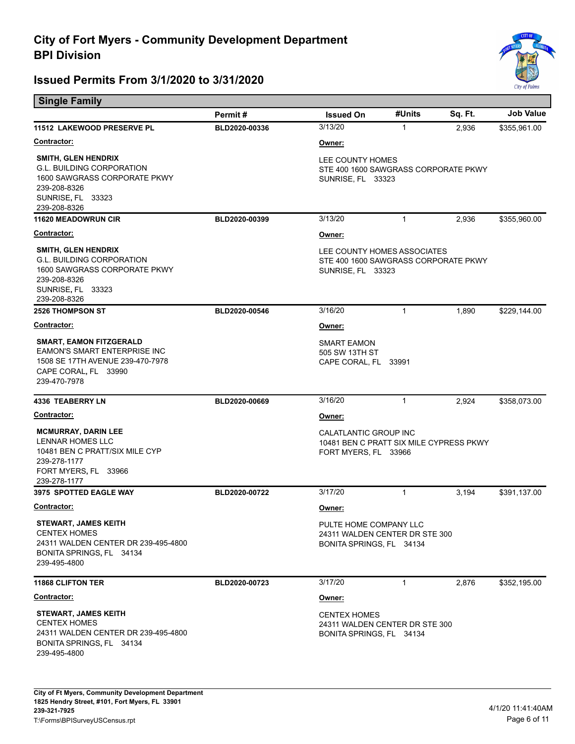Е



| <b>Single Family</b>                                                                                                                                |               |                                                                                          |              |         |                  |
|-----------------------------------------------------------------------------------------------------------------------------------------------------|---------------|------------------------------------------------------------------------------------------|--------------|---------|------------------|
|                                                                                                                                                     | Permit#       | <b>Issued On</b>                                                                         | #Units       | Sq. Ft. | <b>Job Value</b> |
| 11512 LAKEWOOD PRESERVE PL                                                                                                                          | BLD2020-00336 | 3/13/20                                                                                  | $\mathbf{1}$ | 2,936   | \$355,961.00     |
| <b>Contractor:</b>                                                                                                                                  |               | Owner:                                                                                   |              |         |                  |
| <b>SMITH, GLEN HENDRIX</b><br><b>G.L. BUILDING CORPORATION</b><br>1600 SAWGRASS CORPORATE PKWY<br>239-208-8326<br>SUNRISE, FL 33323<br>239-208-8326 |               | LEE COUNTY HOMES<br>STE 400 1600 SAWGRASS CORPORATE PKWY<br>SUNRISE, FL 33323            |              |         |                  |
| <b>11620 MEADOWRUN CIR</b>                                                                                                                          | BLD2020-00399 | 3/13/20                                                                                  | $\mathbf{1}$ | 2,936   | \$355,960.00     |
| <b>Contractor:</b>                                                                                                                                  |               | Owner:                                                                                   |              |         |                  |
| <b>SMITH, GLEN HENDRIX</b><br><b>G.L. BUILDING CORPORATION</b><br>1600 SAWGRASS CORPORATE PKWY<br>239-208-8326<br>SUNRISE, FL 33323<br>239-208-8326 |               | LEE COUNTY HOMES ASSOCIATES<br>STE 400 1600 SAWGRASS CORPORATE PKWY<br>SUNRISE, FL 33323 |              |         |                  |
| <b>2526 THOMPSON ST</b>                                                                                                                             | BLD2020-00546 | 3/16/20                                                                                  | $\mathbf{1}$ | 1,890   | \$229,144.00     |
| <b>Contractor:</b>                                                                                                                                  |               | Owner:                                                                                   |              |         |                  |
| <b>SMART, EAMON FITZGERALD</b><br><b>EAMON'S SMART ENTERPRISE INC</b><br>1508 SE 17TH AVENUE 239-470-7978<br>CAPE CORAL, FL 33990<br>239-470-7978   |               | <b>SMART EAMON</b><br>505 SW 13TH ST<br>CAPE CORAL, FL 33991                             |              |         |                  |
| <b>4336 TEABERRY LN</b>                                                                                                                             | BLD2020-00669 | 3/16/20                                                                                  | $\mathbf{1}$ | 2,924   | \$358,073.00     |
| <b>Contractor:</b>                                                                                                                                  |               | Owner:                                                                                   |              |         |                  |
| <b>MCMURRAY, DARIN LEE</b><br>LENNAR HOMES LLC<br>10481 BEN C PRATT/SIX MILE CYP<br>239-278-1177<br>FORT MYERS, FL 33966<br>239-278-1177            |               | CALATLANTIC GROUP INC<br>10481 BEN C PRATT SIX MILE CYPRESS PKWY<br>FORT MYERS, FL 33966 |              |         |                  |
| 3975 SPOTTED EAGLE WAY                                                                                                                              | BLD2020-00722 | 3/17/20                                                                                  | 1            | 3,194   | \$391,137.00     |
| <b>Contractor:</b>                                                                                                                                  |               | Owner:                                                                                   |              |         |                  |
| STEWART, JAMES KEITH<br><b>CENTEX HOMES</b><br>24311 WALDEN CENTER DR 239-495-4800<br>BONITA SPRINGS, FL 34134<br>239-495-4800                      |               | PULTE HOME COMPANY LLC<br>24311 WALDEN CENTER DR STE 300<br>BONITA SPRINGS, FL 34134     |              |         |                  |
| <b>11868 CLIFTON TER</b>                                                                                                                            | BLD2020-00723 | 3/17/20                                                                                  | 1            | 2,876   | \$352,195.00     |
| Contractor:                                                                                                                                         |               | Owner:                                                                                   |              |         |                  |
| <b>STEWART, JAMES KEITH</b><br><b>CENTEX HOMES</b><br>24311 WALDEN CENTER DR 239-495-4800<br>BONITA SPRINGS, FL 34134<br>239-495-4800               |               | <b>CENTEX HOMES</b><br>24311 WALDEN CENTER DR STE 300<br>BONITA SPRINGS, FL 34134        |              |         |                  |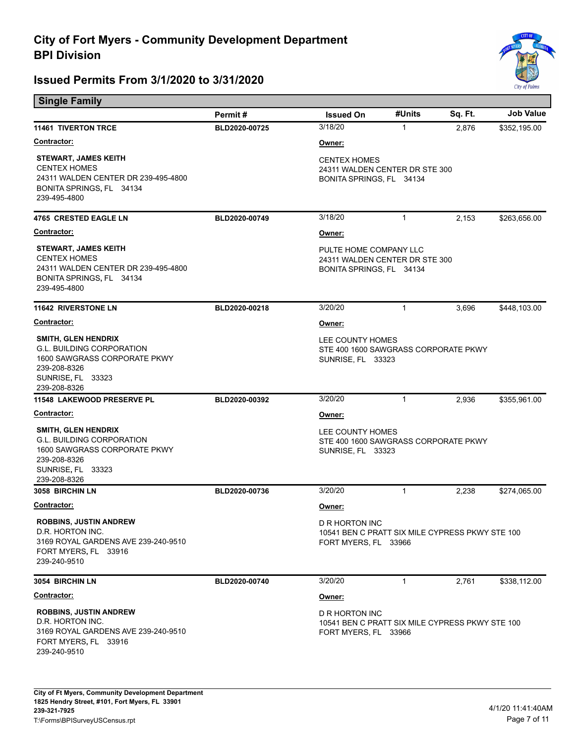

| <b>Single Family</b>                                                                                                                                |               |                                                                                                  |              |         |                  |
|-----------------------------------------------------------------------------------------------------------------------------------------------------|---------------|--------------------------------------------------------------------------------------------------|--------------|---------|------------------|
|                                                                                                                                                     | Permit#       | <b>Issued On</b>                                                                                 | #Units       | Sq. Ft. | <b>Job Value</b> |
| <b>11461 TIVERTON TRCE</b>                                                                                                                          | BLD2020-00725 | 3/18/20                                                                                          | $\mathbf{1}$ | 2,876   | \$352,195.00     |
| Contractor:                                                                                                                                         |               | Owner:                                                                                           |              |         |                  |
| <b>STEWART, JAMES KEITH</b><br><b>CENTEX HOMES</b><br>24311 WALDEN CENTER DR 239-495-4800<br>BONITA SPRINGS, FL 34134<br>239-495-4800               |               | <b>CENTEX HOMES</b><br>24311 WALDEN CENTER DR STE 300<br>BONITA SPRINGS, FL 34134                |              |         |                  |
| <b>4765 CRESTED EAGLE LN</b>                                                                                                                        | BLD2020-00749 | 3/18/20                                                                                          | $\mathbf{1}$ | 2,153   | \$263,656.00     |
| <u>Contractor:</u>                                                                                                                                  |               | Owner:                                                                                           |              |         |                  |
| <b>STEWART, JAMES KEITH</b><br><b>CENTEX HOMES</b><br>24311 WALDEN CENTER DR 239-495-4800<br>BONITA SPRINGS, FL 34134<br>239-495-4800               |               | PULTE HOME COMPANY LLC<br>24311 WALDEN CENTER DR STE 300<br>BONITA SPRINGS, FL 34134             |              |         |                  |
| <b>11642 RIVERSTONE LN</b>                                                                                                                          | BLD2020-00218 | 3/20/20                                                                                          | $\mathbf{1}$ | 3,696   | \$448,103.00     |
| <b>Contractor:</b>                                                                                                                                  |               | <u>Owner:</u>                                                                                    |              |         |                  |
| <b>SMITH, GLEN HENDRIX</b><br><b>G.L. BUILDING CORPORATION</b><br>1600 SAWGRASS CORPORATE PKWY<br>239-208-8326<br>SUNRISE, FL 33323<br>239-208-8326 |               | LEE COUNTY HOMES<br>STE 400 1600 SAWGRASS CORPORATE PKWY<br>SUNRISE, FL 33323                    |              |         |                  |
| 11548 LAKEWOOD PRESERVE PL                                                                                                                          | BLD2020-00392 | 3/20/20                                                                                          | 1            | 2,936   | \$355,961.00     |
| Contractor:                                                                                                                                         |               | <u>Owner:</u>                                                                                    |              |         |                  |
| <b>SMITH, GLEN HENDRIX</b><br><b>G.L. BUILDING CORPORATION</b><br>1600 SAWGRASS CORPORATE PKWY<br>239-208-8326<br>SUNRISE, FL 33323<br>239-208-8326 |               | LEE COUNTY HOMES<br>STE 400 1600 SAWGRASS CORPORATE PKWY<br>SUNRISE, FL 33323                    |              |         |                  |
| 3058 BIRCHIN LN                                                                                                                                     | BLD2020-00736 | 3/20/20                                                                                          | 1            | 2,238   | \$274,065.00     |
| <b>Contractor:</b>                                                                                                                                  |               | <u>Owner:</u>                                                                                    |              |         |                  |
| <b>ROBBINS, JUSTIN ANDREW</b><br>D.R. HORTON INC.<br>3169 ROYAL GARDENS AVE 239-240-9510<br>FORT MYERS, FL 33916<br>239-240-9510                    |               | <b>D R HORTON INC</b><br>10541 BEN C PRATT SIX MILE CYPRESS PKWY STE 100<br>FORT MYERS, FL 33966 |              |         |                  |
| 3054 BIRCHIN LN                                                                                                                                     | BLD2020-00740 | 3/20/20                                                                                          | $\mathbf{1}$ | 2,761   | \$338,112.00     |
| <b>Contractor:</b>                                                                                                                                  |               | Owner:                                                                                           |              |         |                  |
| <b>ROBBINS, JUSTIN ANDREW</b><br>D.R. HORTON INC.<br>3169 ROYAL GARDENS AVE 239-240-9510<br>FORT MYERS, FL 33916<br>239-240-9510                    |               | D R HORTON INC<br>10541 BEN C PRATT SIX MILE CYPRESS PKWY STE 100<br>FORT MYERS, FL 33966        |              |         |                  |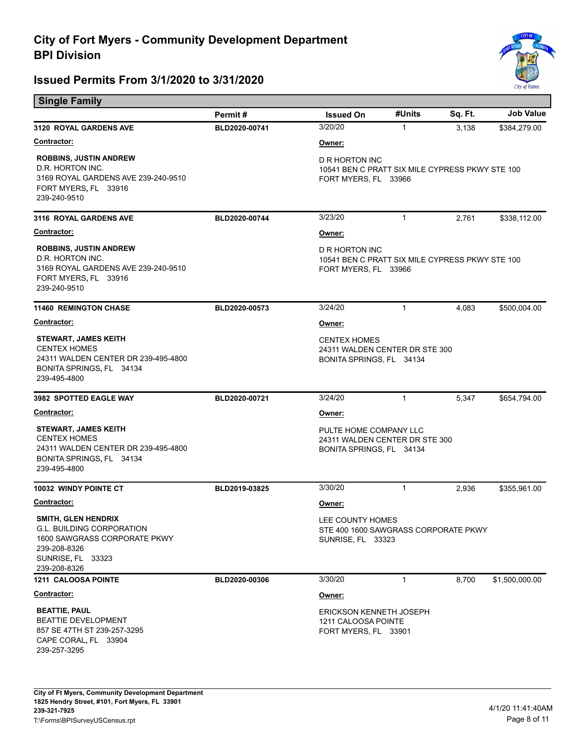

| <b>Single Family</b>                                                                                                                         |               |                                                                                           |              |         |                  |  |
|----------------------------------------------------------------------------------------------------------------------------------------------|---------------|-------------------------------------------------------------------------------------------|--------------|---------|------------------|--|
|                                                                                                                                              | Permit#       | <b>Issued On</b>                                                                          | #Units       | Sq. Ft. | <b>Job Value</b> |  |
| <b>3120 ROYAL GARDENS AVE</b>                                                                                                                | BLD2020-00741 | 3/20/20                                                                                   | 1            | 3,138   | \$384,279.00     |  |
| <b>Contractor:</b>                                                                                                                           |               | Owner:                                                                                    |              |         |                  |  |
| <b>ROBBINS, JUSTIN ANDREW</b><br>D.R. HORTON INC.<br>3169 ROYAL GARDENS AVE 239-240-9510<br>FORT MYERS, FL 33916<br>239-240-9510             |               | D R HORTON INC<br>10541 BEN C PRATT SIX MILE CYPRESS PKWY STE 100<br>FORT MYERS, FL 33966 |              |         |                  |  |
| <b>3116 ROYAL GARDENS AVE</b>                                                                                                                | BLD2020-00744 | 3/23/20                                                                                   | $\mathbf{1}$ | 2,761   | \$338,112.00     |  |
| <b>Contractor:</b>                                                                                                                           |               | Owner:                                                                                    |              |         |                  |  |
| <b>ROBBINS, JUSTIN ANDREW</b><br>D.R. HORTON INC.<br>3169 ROYAL GARDENS AVE 239-240-9510<br>FORT MYERS, FL 33916<br>239-240-9510             |               | D R HORTON INC<br>10541 BEN C PRATT SIX MILE CYPRESS PKWY STE 100<br>FORT MYERS, FL 33966 |              |         |                  |  |
| <b>11460 REMINGTON CHASE</b>                                                                                                                 | BLD2020-00573 | 3/24/20                                                                                   | 1            | 4,083   | \$500,004.00     |  |
| <b>Contractor:</b>                                                                                                                           |               | Owner:                                                                                    |              |         |                  |  |
| <b>STEWART, JAMES KEITH</b><br><b>CENTEX HOMES</b><br>24311 WALDEN CENTER DR 239-495-4800<br>BONITA SPRINGS, FL 34134<br>239-495-4800        |               | <b>CENTEX HOMES</b><br>24311 WALDEN CENTER DR STE 300<br>BONITA SPRINGS, FL 34134         |              |         |                  |  |
| 3982 SPOTTED EAGLE WAY                                                                                                                       | BLD2020-00721 | 3/24/20                                                                                   | 1            | 5,347   | \$654,794.00     |  |
| <b>Contractor:</b>                                                                                                                           |               | Owner:                                                                                    |              |         |                  |  |
| <b>STEWART, JAMES KEITH</b><br><b>CENTEX HOMES</b><br>24311 WALDEN CENTER DR 239-495-4800<br>BONITA SPRINGS, FL 34134<br>239-495-4800        |               | PULTE HOME COMPANY LLC<br>24311 WALDEN CENTER DR STE 300<br>BONITA SPRINGS, FL 34134      |              |         |                  |  |
| <b>10032 WINDY POINTE CT</b>                                                                                                                 | BLD2019-03825 | 3/30/20                                                                                   | $\mathbf{1}$ | 2,936   | \$355,961.00     |  |
| <b>Contractor:</b>                                                                                                                           |               | Owner:                                                                                    |              |         |                  |  |
| SMITH, GLEN HENDRIX<br><b>G.L. BUILDING CORPORATION</b><br>1600 SAWGRASS CORPORATE PKWY<br>239-208-8326<br>SUNRISE, FL 33323<br>239-208-8326 |               | LEE COUNTY HOMES<br>STE 400 1600 SAWGRASS CORPORATE PKWY<br><b>SUNRISE, FL 33323</b>      |              |         |                  |  |
| 1211 CALOOSA POINTE                                                                                                                          | BLD2020-00306 | 3/30/20                                                                                   | 1            | 8,700   | \$1,500,000.00   |  |
| <b>Contractor:</b>                                                                                                                           |               | Owner:                                                                                    |              |         |                  |  |
| <b>BEATTIE, PAUL</b><br><b>BEATTIE DEVELOPMENT</b><br>857 SE 47TH ST 239-257-3295<br>CAPE CORAL, FL 33904<br>239-257-3295                    |               | <b>ERICKSON KENNETH JOSEPH</b><br>1211 CALOOSA POINTE<br>FORT MYERS, FL 33901             |              |         |                  |  |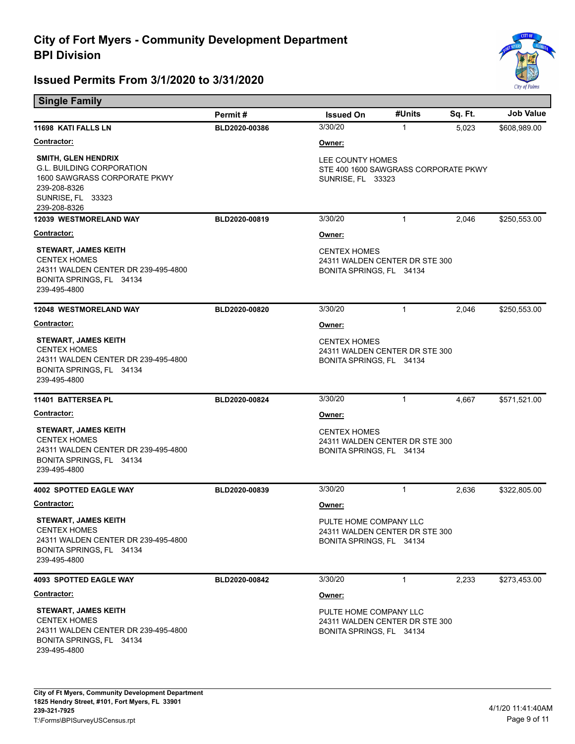

| <b>Single Family</b>                                                                                                                                |               |                                                                                      |              |         |                  |  |
|-----------------------------------------------------------------------------------------------------------------------------------------------------|---------------|--------------------------------------------------------------------------------------|--------------|---------|------------------|--|
|                                                                                                                                                     | Permit#       | <b>Issued On</b>                                                                     | #Units       | Sq. Ft. | <b>Job Value</b> |  |
| 11698 KATI FALLS LN                                                                                                                                 | BLD2020-00386 | 3/30/20                                                                              | $\mathbf{1}$ | 5.023   | \$608,989.00     |  |
| <u>Contractor:</u>                                                                                                                                  |               | Owner:                                                                               |              |         |                  |  |
| <b>SMITH, GLEN HENDRIX</b><br><b>G.L. BUILDING CORPORATION</b><br>1600 SAWGRASS CORPORATE PKWY<br>239-208-8326<br>SUNRISE, FL 33323<br>239-208-8326 |               | LEE COUNTY HOMES<br>STE 400 1600 SAWGRASS CORPORATE PKWY<br>SUNRISE, FL 33323        |              |         |                  |  |
| 12039 WESTMORELAND WAY                                                                                                                              | BLD2020-00819 | 3/30/20                                                                              | $\mathbf{1}$ | 2,046   | \$250,553.00     |  |
| <b>Contractor:</b>                                                                                                                                  |               | Owner:                                                                               |              |         |                  |  |
| <b>STEWART, JAMES KEITH</b><br><b>CENTEX HOMES</b><br>24311 WALDEN CENTER DR 239-495-4800<br>BONITA SPRINGS, FL 34134<br>239-495-4800               |               | <b>CENTEX HOMES</b><br>24311 WALDEN CENTER DR STE 300<br>BONITA SPRINGS, FL 34134    |              |         |                  |  |
| <b>12048 WESTMORELAND WAY</b>                                                                                                                       | BLD2020-00820 | 3/30/20                                                                              | $\mathbf{1}$ | 2,046   | \$250,553.00     |  |
| Contractor:                                                                                                                                         |               | Owner:                                                                               |              |         |                  |  |
| <b>STEWART, JAMES KEITH</b><br><b>CENTEX HOMES</b><br>24311 WALDEN CENTER DR 239-495-4800<br>BONITA SPRINGS, FL 34134<br>239-495-4800               |               | <b>CENTEX HOMES</b><br>24311 WALDEN CENTER DR STE 300<br>BONITA SPRINGS, FL 34134    |              |         |                  |  |
| 11401 BATTERSEA PL                                                                                                                                  | BLD2020-00824 | 3/30/20                                                                              | $\mathbf{1}$ | 4,667   | \$571,521.00     |  |
| Contractor:                                                                                                                                         |               | Owner:                                                                               |              |         |                  |  |
| <b>STEWART, JAMES KEITH</b><br><b>CENTEX HOMES</b><br>24311 WALDEN CENTER DR 239-495-4800<br>BONITA SPRINGS, FL 34134<br>239-495-4800               |               | <b>CENTEX HOMES</b><br>24311 WALDEN CENTER DR STE 300<br>BONITA SPRINGS, FL 34134    |              |         |                  |  |
| <b>4002 SPOTTED EAGLE WAY</b>                                                                                                                       | BLD2020-00839 | 3/30/20                                                                              | $\mathbf{1}$ | 2,636   | \$322,805.00     |  |
| <b>Contractor:</b>                                                                                                                                  |               | Owner:                                                                               |              |         |                  |  |
| <b>STEWART, JAMES KEITH</b><br><b>CENTEX HOMES</b><br>24311 WALDEN CENTER DR 239-495-4800<br>BONITA SPRINGS, FL 34134<br>239-495-4800               |               | PULTE HOME COMPANY LLC<br>24311 WALDEN CENTER DR STE 300<br>BONITA SPRINGS, FL 34134 |              |         |                  |  |
| <b>4093 SPOTTED EAGLE WAY</b>                                                                                                                       | BLD2020-00842 | 3/30/20                                                                              | $\mathbf{1}$ | 2,233   | \$273,453.00     |  |
| <u>Contractor:</u>                                                                                                                                  |               | Owner:                                                                               |              |         |                  |  |
| <b>STEWART, JAMES KEITH</b><br><b>CENTEX HOMES</b><br>24311 WALDEN CENTER DR 239-495-4800<br>BONITA SPRINGS, FL 34134<br>239-495-4800               |               | PULTE HOME COMPANY LLC<br>24311 WALDEN CENTER DR STE 300<br>BONITA SPRINGS, FL 34134 |              |         |                  |  |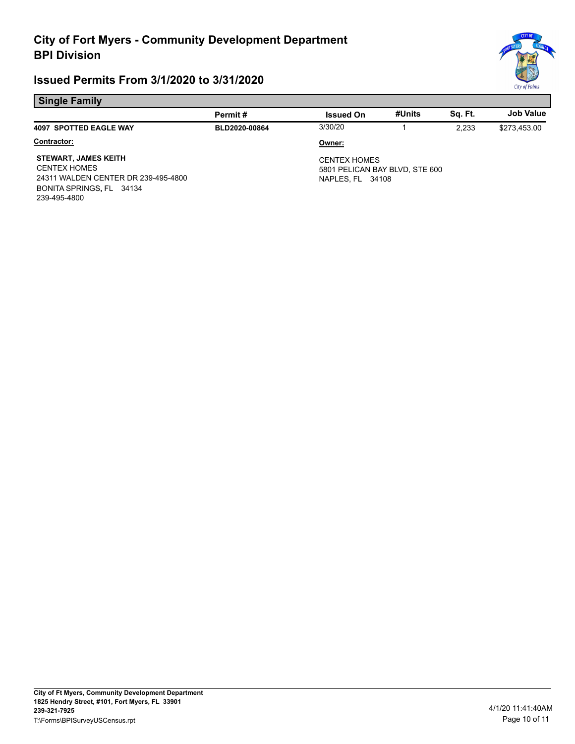

#### **Single Family**

| .                                                                                                                                     |               |                                                                           |        |         |                  |
|---------------------------------------------------------------------------------------------------------------------------------------|---------------|---------------------------------------------------------------------------|--------|---------|------------------|
|                                                                                                                                       | Permit#       | <b>Issued On</b>                                                          | #Units | Sq. Ft. | <b>Job Value</b> |
| <b>4097 SPOTTED EAGLE WAY</b>                                                                                                         | BLD2020-00864 | 3/30/20                                                                   |        | 2.233   | \$273,453.00     |
| Contractor:                                                                                                                           |               | Owner:                                                                    |        |         |                  |
| <b>STEWART, JAMES KEITH</b><br><b>CENTEX HOMES</b><br>24311 WALDEN CENTER DR 239-495-4800<br>BONITA SPRINGS, FL 34134<br>239-495-4800 |               | <b>CENTEX HOMES</b><br>5801 PELICAN BAY BLVD, STE 600<br>NAPLES. FL 34108 |        |         |                  |